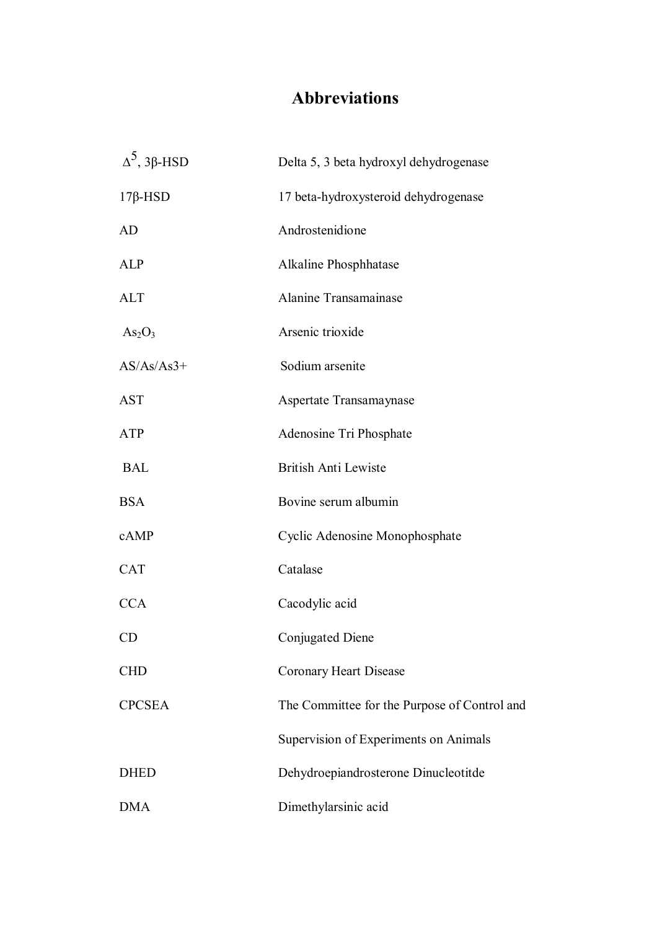## **Abbreviations**

| $Δ5$ , 3β-HSD                  | Delta 5, 3 beta hydroxyl dehydrogenase       |
|--------------------------------|----------------------------------------------|
| $17\beta$ -HSD                 | 17 beta-hydroxysteroid dehydrogenase         |
| AD                             | Androstenidione                              |
| <b>ALP</b>                     | Alkaline Phosphhatase                        |
| <b>ALT</b>                     | Alanine Transamainase                        |
| As <sub>2</sub> O <sub>3</sub> | Arsenic trioxide                             |
| $AS/As/As3+$                   | Sodium arsenite                              |
| <b>AST</b>                     | Aspertate Transamaynase                      |
| <b>ATP</b>                     | Adenosine Tri Phosphate                      |
| <b>BAL</b>                     | <b>British Anti Lewiste</b>                  |
| <b>BSA</b>                     | Bovine serum albumin                         |
| cAMP                           | Cyclic Adenosine Monophosphate               |
| <b>CAT</b>                     | Catalase                                     |
| <b>CCA</b>                     | Cacodylic acid                               |
| CD                             | Conjugated Diene                             |
| <b>CHD</b>                     | Coronary Heart Disease                       |
| <b>CPCSEA</b>                  | The Committee for the Purpose of Control and |
|                                | Supervision of Experiments on Animals        |
| <b>DHED</b>                    | Dehydroepiandrosterone Dinucleotitde         |
| <b>DMA</b>                     | Dimethylarsinic acid                         |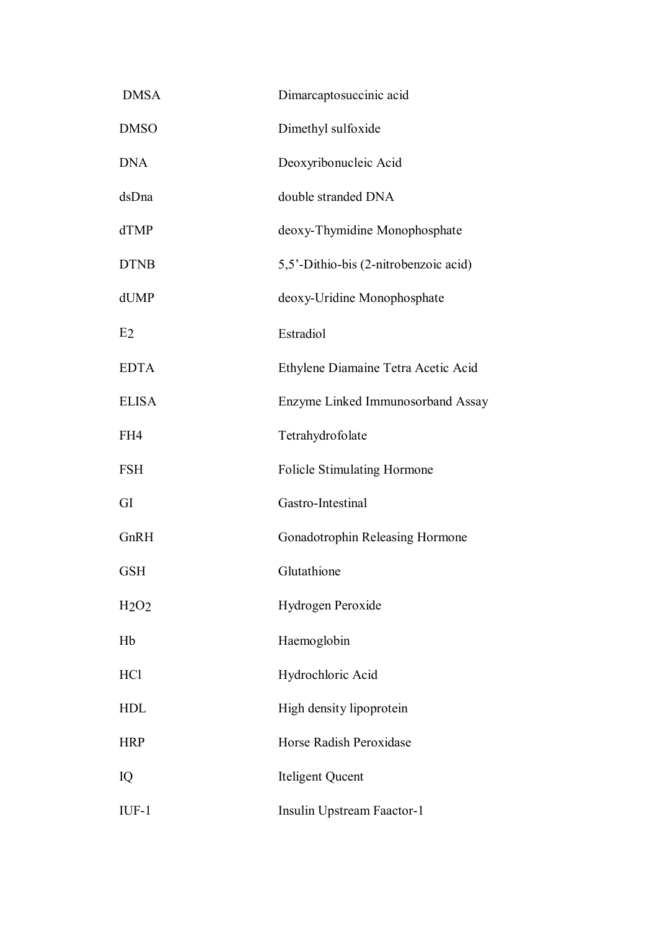| <b>DMSA</b>    | Dimarcaptosuccinic acid               |
|----------------|---------------------------------------|
| <b>DMSO</b>    | Dimethyl sulfoxide                    |
| <b>DNA</b>     | Deoxyribonucleic Acid                 |
| dsDna          | double stranded DNA                   |
| dTMP           | deoxy-Thymidine Monophosphate         |
| <b>DTNB</b>    | 5,5'-Dithio-bis (2-nitrobenzoic acid) |
| dUMP           | deoxy-Uridine Monophosphate           |
| E <sub>2</sub> | Estradiol                             |
| <b>EDTA</b>    | Ethylene Diamaine Tetra Acetic Acid   |
| <b>ELISA</b>   | Enzyme Linked Immunosorband Assay     |
| FH4            | Tetrahydrofolate                      |
| <b>FSH</b>     | <b>Folicle Stimulating Hormone</b>    |
| GI             | Gastro-Intestinal                     |
| GnRH           | Gonadotrophin Releasing Hormone       |
| <b>GSH</b>     | Glutathione                           |
| H2O2           | Hydrogen Peroxide                     |
| Hb             | Haemoglobin                           |
| <b>HCl</b>     | Hydrochloric Acid                     |
| <b>HDL</b>     | High density lipoprotein              |
| <b>HRP</b>     | Horse Radish Peroxidase               |
| IQ             | Iteligent Qucent                      |
| $IUF-1$        | Insulin Upstream Faactor-1            |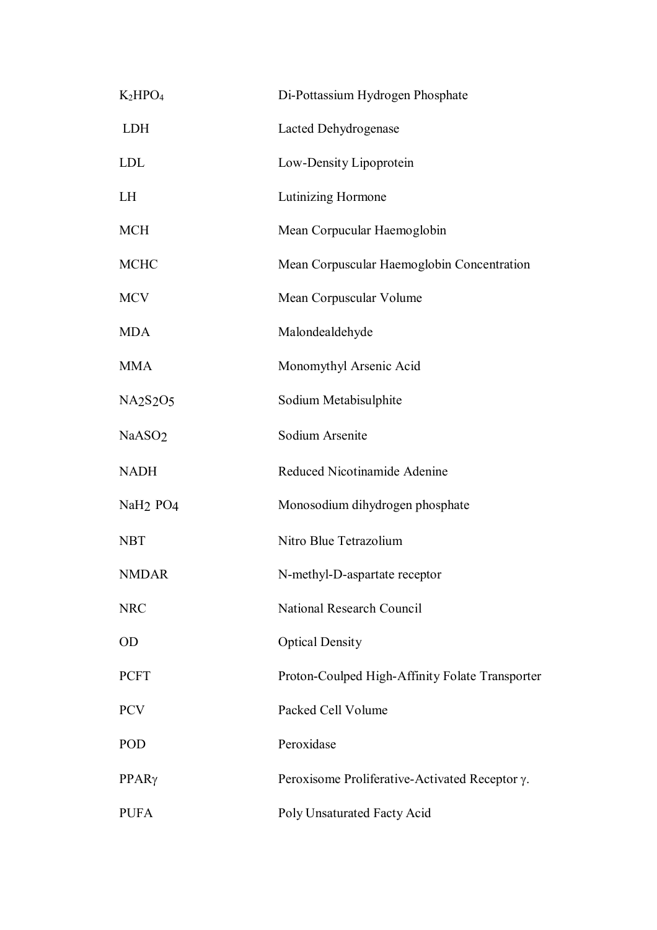| K <sub>2</sub> HPO <sub>4</sub>               | Di-Pottassium Hydrogen Phosphate                       |
|-----------------------------------------------|--------------------------------------------------------|
| <b>LDH</b>                                    | Lacted Dehydrogenase                                   |
| <b>LDL</b>                                    | Low-Density Lipoprotein                                |
| <b>LH</b>                                     | Lutinizing Hormone                                     |
| <b>MCH</b>                                    | Mean Corpucular Haemoglobin                            |
| <b>MCHC</b>                                   | Mean Corpuscular Haemoglobin Concentration             |
| <b>MCV</b>                                    | Mean Corpuscular Volume                                |
| <b>MDA</b>                                    | Malondealdehyde                                        |
| <b>MMA</b>                                    | Monomythyl Arsenic Acid                                |
| NA <sub>2</sub> S <sub>2</sub> O <sub>5</sub> | Sodium Metabisulphite                                  |
| NaASO <sub>2</sub>                            | Sodium Arsenite                                        |
| <b>NADH</b>                                   | Reduced Nicotinamide Adenine                           |
| NaH <sub>2</sub> PO <sub>4</sub>              | Monosodium dihydrogen phosphate                        |
| <b>NBT</b>                                    | Nitro Blue Tetrazolium                                 |
| <b>NMDAR</b>                                  | N-methyl-D-aspartate receptor                          |
| <b>NRC</b>                                    | National Research Council                              |
| <b>OD</b>                                     | <b>Optical Density</b>                                 |
| <b>PCFT</b>                                   | Proton-Coulped High-Affinity Folate Transporter        |
| <b>PCV</b>                                    | Packed Cell Volume                                     |
| <b>POD</b>                                    | Peroxidase                                             |
| $PPAR\gamma$                                  | Peroxisome Proliferative-Activated Receptor $\gamma$ . |
| <b>PUFA</b>                                   | Poly Unsaturated Facty Acid                            |